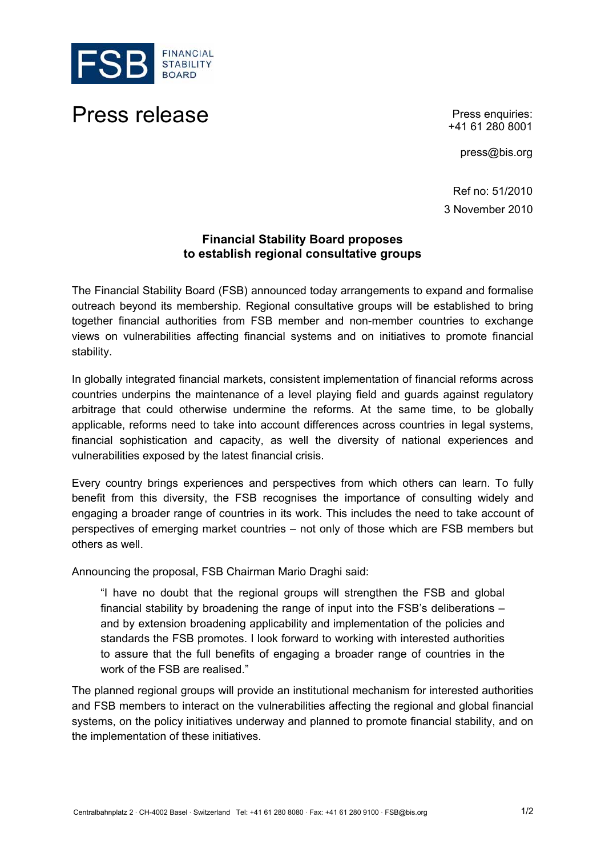

## Press release **Press enquiries:**

+41 61 280 8001

press@bis.org

Ref no: 51/2010 3 November 2010

## **Financial Stability Board proposes to establish regional consultative groups**

The Financial Stability Board (FSB) announced today arrangements to expand and formalise outreach beyond its membership. Regional consultative groups will be established to bring together financial authorities from FSB member and non-member countries to exchange views on vulnerabilities affecting financial systems and on initiatives to promote financial stability.

In globally integrated financial markets, consistent implementation of financial reforms across countries underpins the maintenance of a level playing field and guards against regulatory arbitrage that could otherwise undermine the reforms. At the same time, to be globally applicable, reforms need to take into account differences across countries in legal systems, financial sophistication and capacity, as well the diversity of national experiences and vulnerabilities exposed by the latest financial crisis.

Every country brings experiences and perspectives from which others can learn. To fully benefit from this diversity, the FSB recognises the importance of consulting widely and engaging a broader range of countries in its work. This includes the need to take account of perspectives of emerging market countries – not only of those which are FSB members but others as well.

Announcing the proposal, FSB Chairman Mario Draghi said:

"I have no doubt that the regional groups will strengthen the FSB and global financial stability by broadening the range of input into the FSB's deliberations – and by extension broadening applicability and implementation of the policies and standards the FSB promotes. I look forward to working with interested authorities to assure that the full benefits of engaging a broader range of countries in the work of the FSB are realised."

The planned regional groups will provide an institutional mechanism for interested authorities and FSB members to interact on the vulnerabilities affecting the regional and global financial systems, on the policy initiatives underway and planned to promote financial stability, and on the implementation of these initiatives.